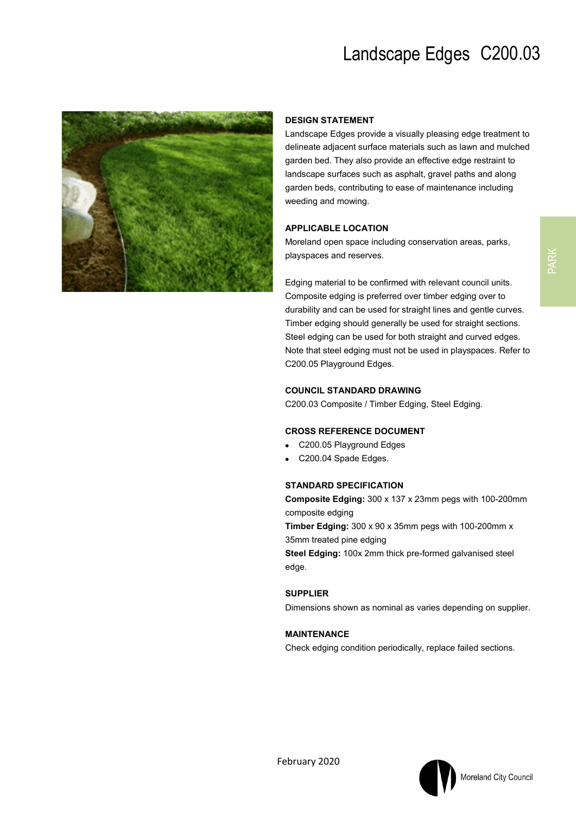

### **DESIGN STATEMENT**

Landscape Edges provide a visually pleasing edge treatment to delineate adjacent surface materials such as lawn and mulched garden bed. They also provide an effective edge restraint to landscape surfaces such as asphalt, gravel paths and along garden beds, contributing to ease of maintenance including weeding and mowing.

#### **APPLICABLE LOCATION**

Moreland open space including conservation areas, parks, playspaces and reserves.

Edging material to be confirmed with relevant council units. Composite edging is preferred over timber edging over to durability and can be used for straight lines and gentle curves. Timber edging should generally be used for straight sections. Steel edging can be used for both straight and curved edges. Note that steel edging must not be used in playspaces. Refer to C200.05 Playground Edges.

#### **COUNCIL STANDARD DRAWING**

C200.03 Composite / Timber Edging, Steel Edging.

#### **CROSS REFERENCE DOCUMENT**

- C200.05 Playground Edges
- C200.04 Spade Edges.

#### **STANDARD SPECIFICATION**

**Composite Edging:** 300 x 137 x 23mm pegs with 100-200mm composite edging **Timber Edging:** 300 x 90 x 35mm pegs with 100-200mm x

35mm treated pine edging

**Steel Edging:** 100x 2mm thick pre-formed galvanised steel edge.

#### **SUPPLIER**

Dimensions shown as nominal as varies depending on supplier.

#### **MAINTENANCE**

Check edging condition periodically, replace failed sections.



PARK